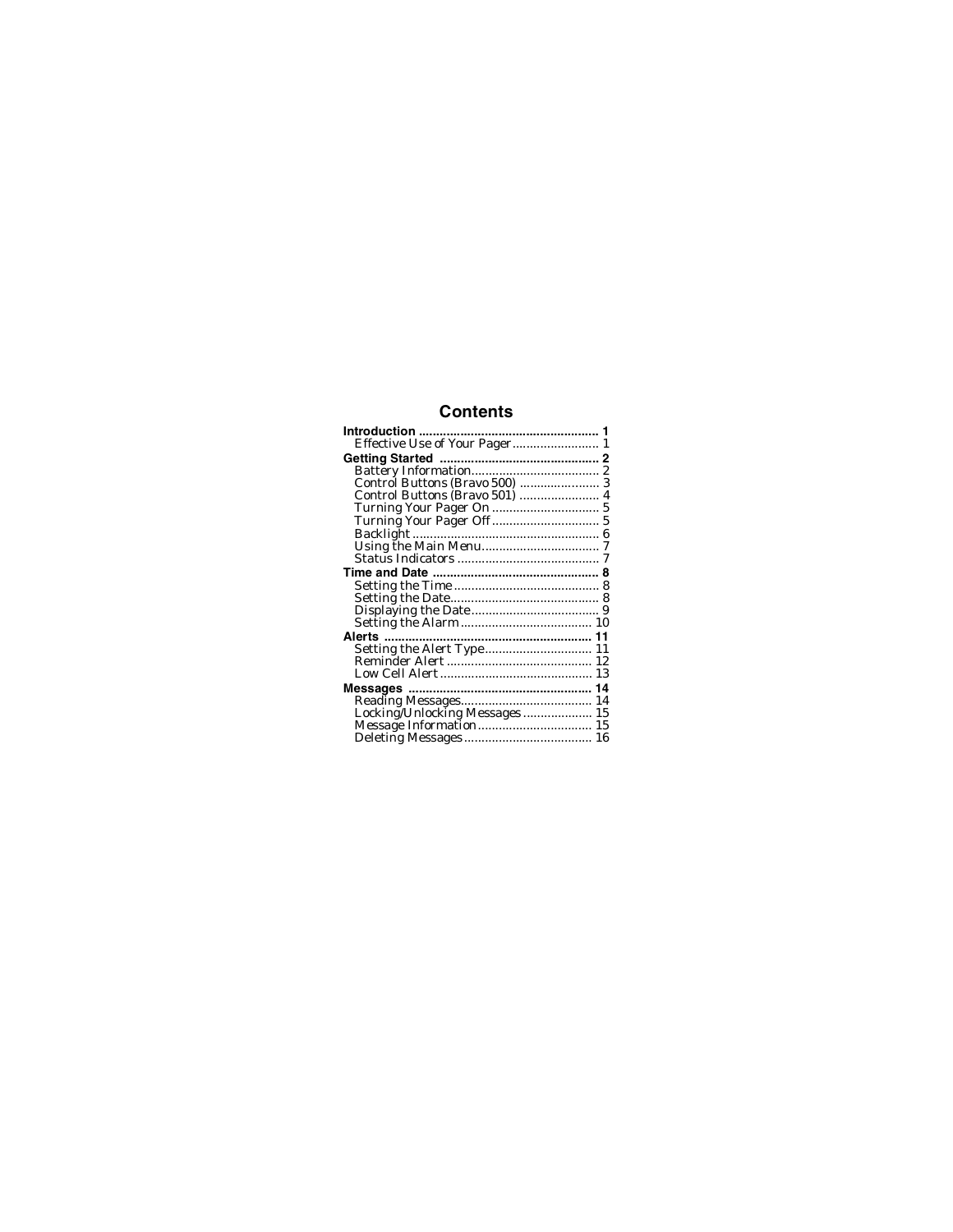## **Contents**

| Locking/Unlocking Messages 15<br>Message Information 15 |  |
|---------------------------------------------------------|--|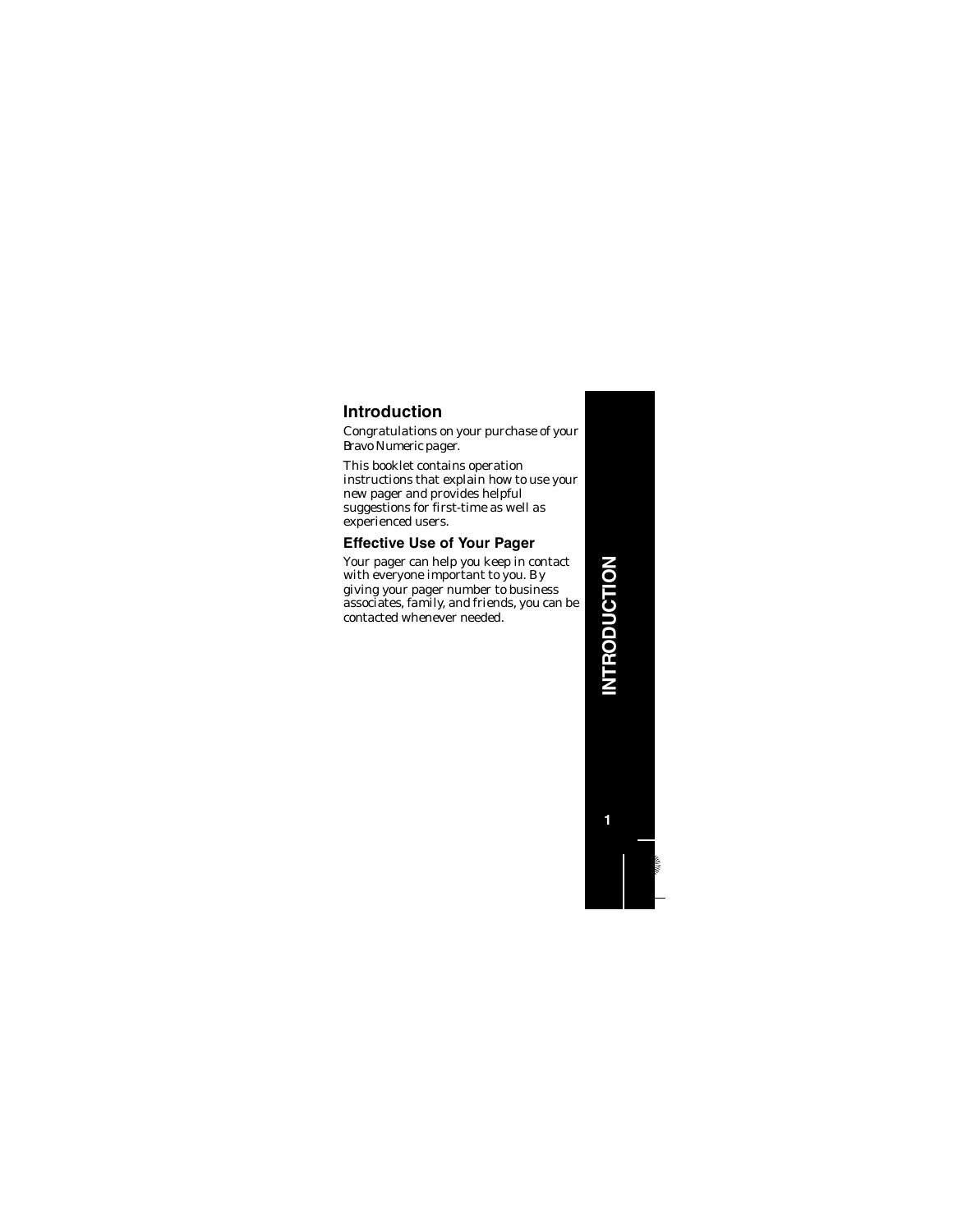# **NTRODUCTION INTRODUCTION**

**1**

# **Introduction**

Congratulations on your purchase of your Bravo Numeric pager.

This booklet contains operation instructions that explain how to use your new pager and provides helpful suggestions for first-time as well as experienced users.

## **Effective Use of Your Pager**

Your pager can help you keep in contact with everyone important to you. By giving your pager number to business associates, family, and friends, you can be contacted whenever needed.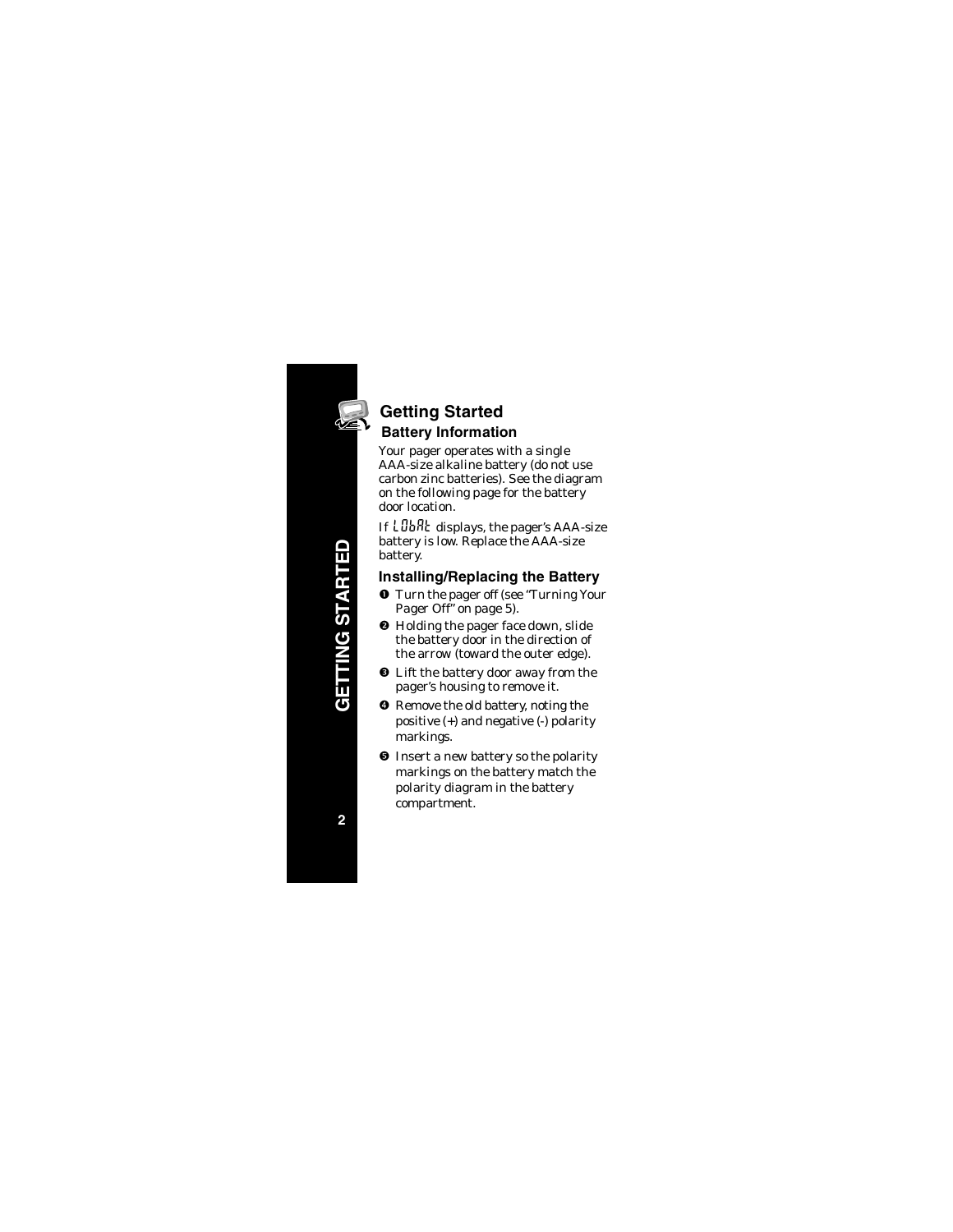

# **Getting Started Battery Information**

Your pager operates with a single AAA-size alkaline battery (do not use carbon zinc batteries). See the diagram on the following page for the battery door location.

If LUbRt displays, the pager's AAA-size battery is low. Replace the AAA-size battery.

#### **Installing/Replacing the Battery**

- **O** Turn the pager off (see "Turning Your Pager Off" on page 5).
- <sup>9</sup> Holding the pager face down, slide the battery door in the direction of the arrow (toward the outer edge).
- $\bullet$  Lift the battery door away from the pager's housing to remove it.
- $\bullet$  Remove the old battery, noting the positive (+) and negative (-) polarity markings.
- **O** Insert a new battery so the polarity markings on the battery match the polarity diagram in the battery compartment.

**GETTING STARTED GETTING STARTEL**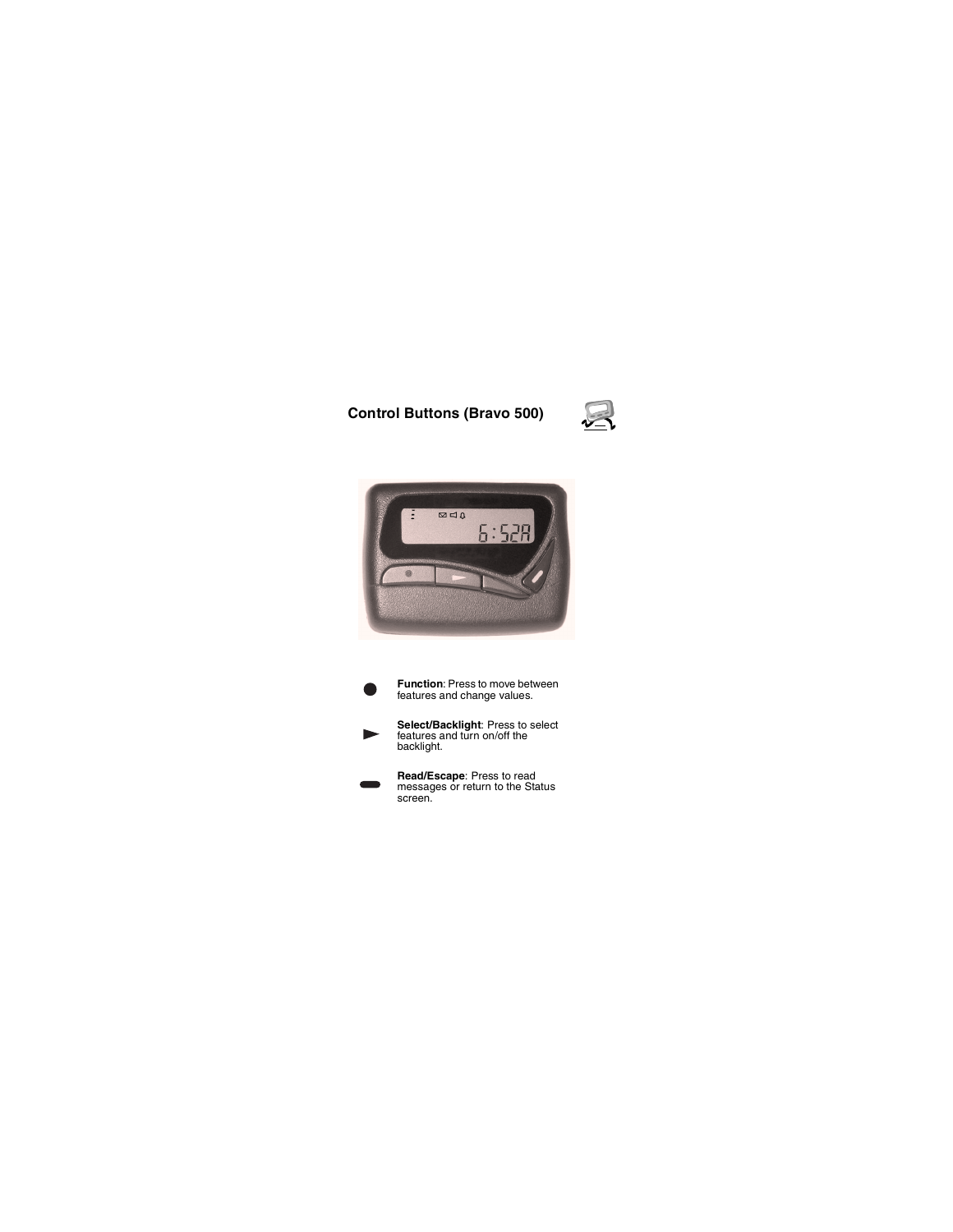#### **Control Buttons (Bravo 500)**





- **Function**: Press to move between features and change values.
- **Select/Backlight**: Press to select features and turn on/off the backlight.
- **Read/Escape**: Press to read messages or return to the Status screen.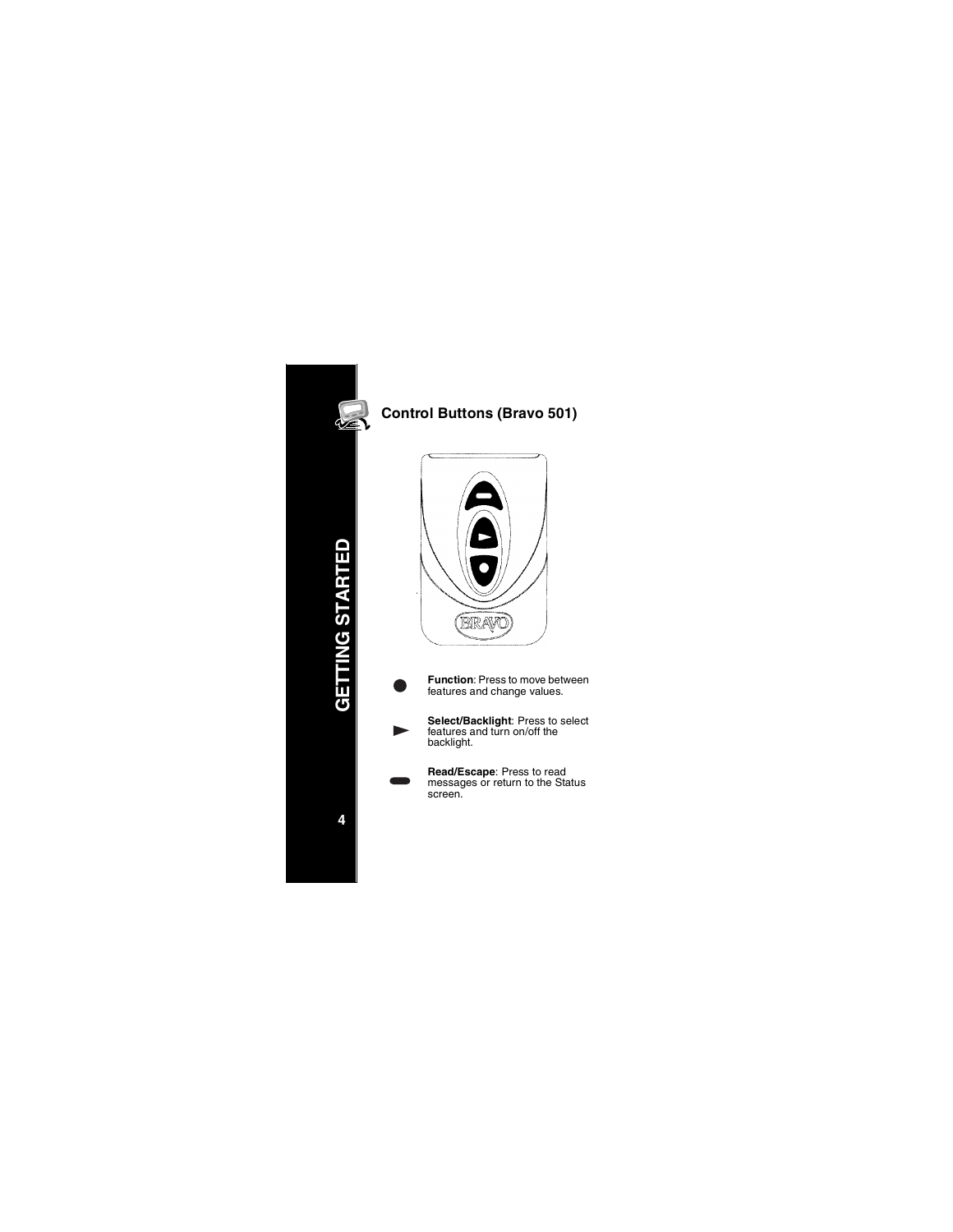

# **Control Buttons (Bravo 501)**





- **Function**: Press to move between features and change values.
- **Select/Backlight**: Press to select features and turn on/off the backlight.
	- **Read/Escape**: Press to read messages or return to the Status screen.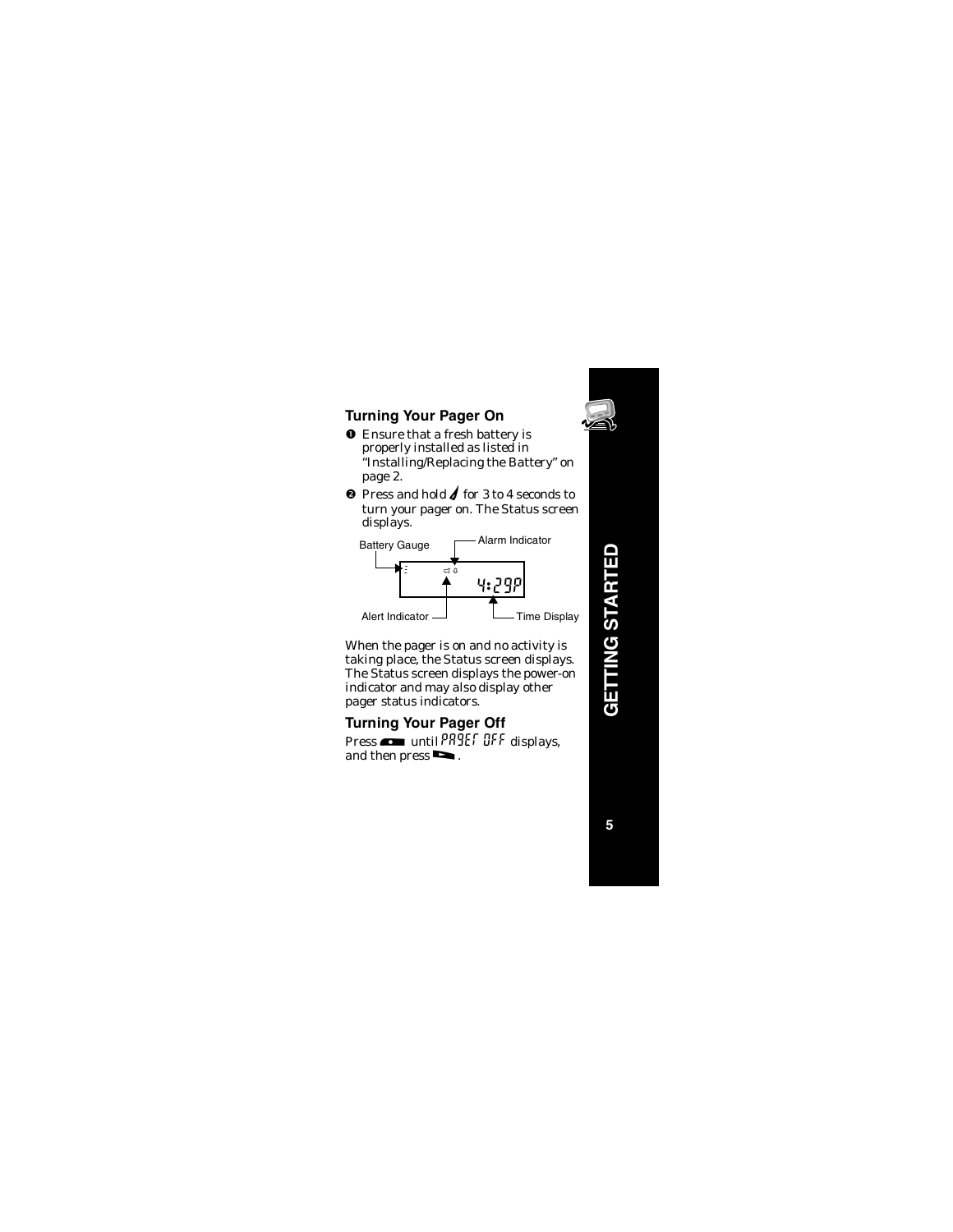- **O** Ensure that a fresh battery is properly installed as listed in "Installing/Replacing the Battery" on page 2.
- $\bullet$  Press and hold  $\bullet$  for 3 to 4 seconds to turn your pager on. The Status screen displays.



When the pager is on and no activity is taking place, the Status screen displays. The Status screen displays the power-on indicator and may also display other pager status indicators.

**Turning Your Pager Off** Press  $\bullet$  until PR9EF OFF displays, and then press  $\blacksquare$ .



**GETTING STARTED GETTING STARTED**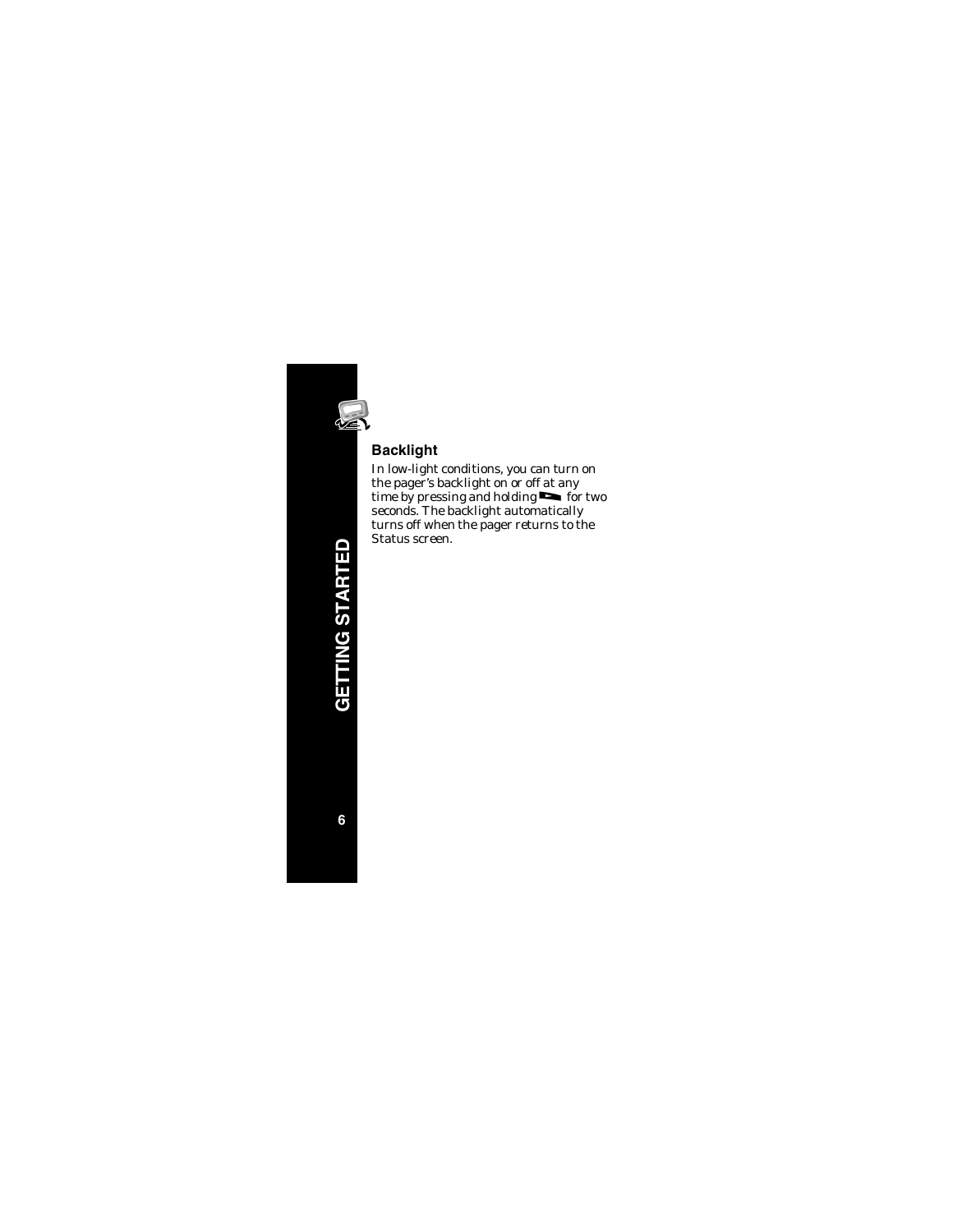

## **Backlight**

In low-light conditions, you can turn on the pager's backlight on or off at any time by pressing and holding  $\blacksquare$  for two seconds. The backlight automatically turns off when the pager returns to the Status screen.

**GETTING STARTED GETTING STARTED**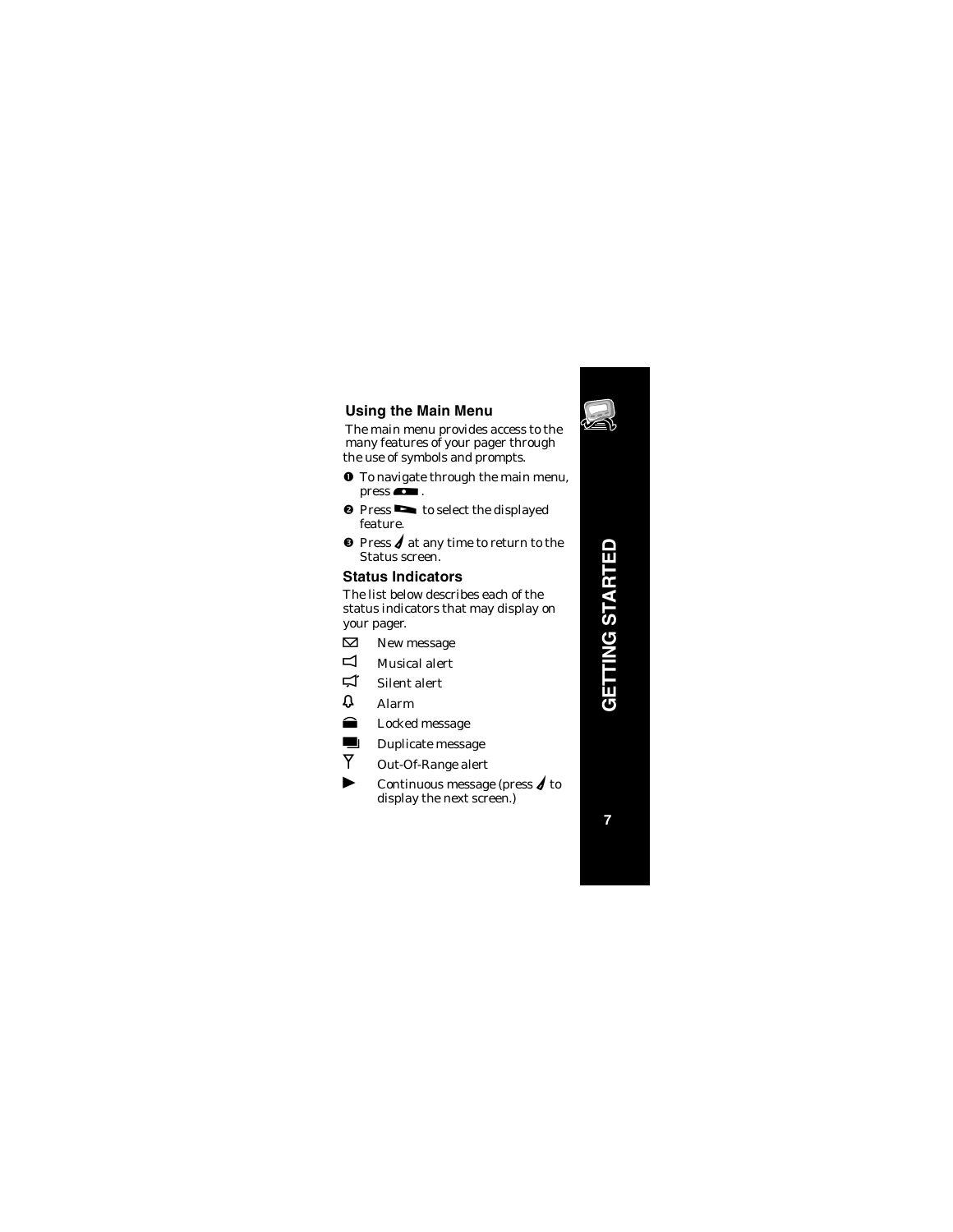

## **Using the Main Menu**

The main menu provides access to the many features of your pager through the use of symbols and prompts.

- **O** To navigate through the main menu,  $pres \frown$ .
- $\bullet$  Press  $\bullet$  to select the displayed feature.
- $\bullet$  Press  $\blacklozenge$  at any time to return to the Status screen.

# **Status Indicators**

The list below describes each of the status indicators that may display on your pager.

- $\triangledown$ New message
- $\Box$ Musical alert
- $\overline{\mathbf{u}}$ Silent alert
- $\mathfrak{v}$ Alarm
- $\bullet$ Locked message
- $\blacksquare$  Duplicate message  $\overline{Y}$ 
	- Out-Of-Range alert
- $\blacktriangleright$ Continuous message (press  $\boldsymbol{d}$  to display the next screen.)

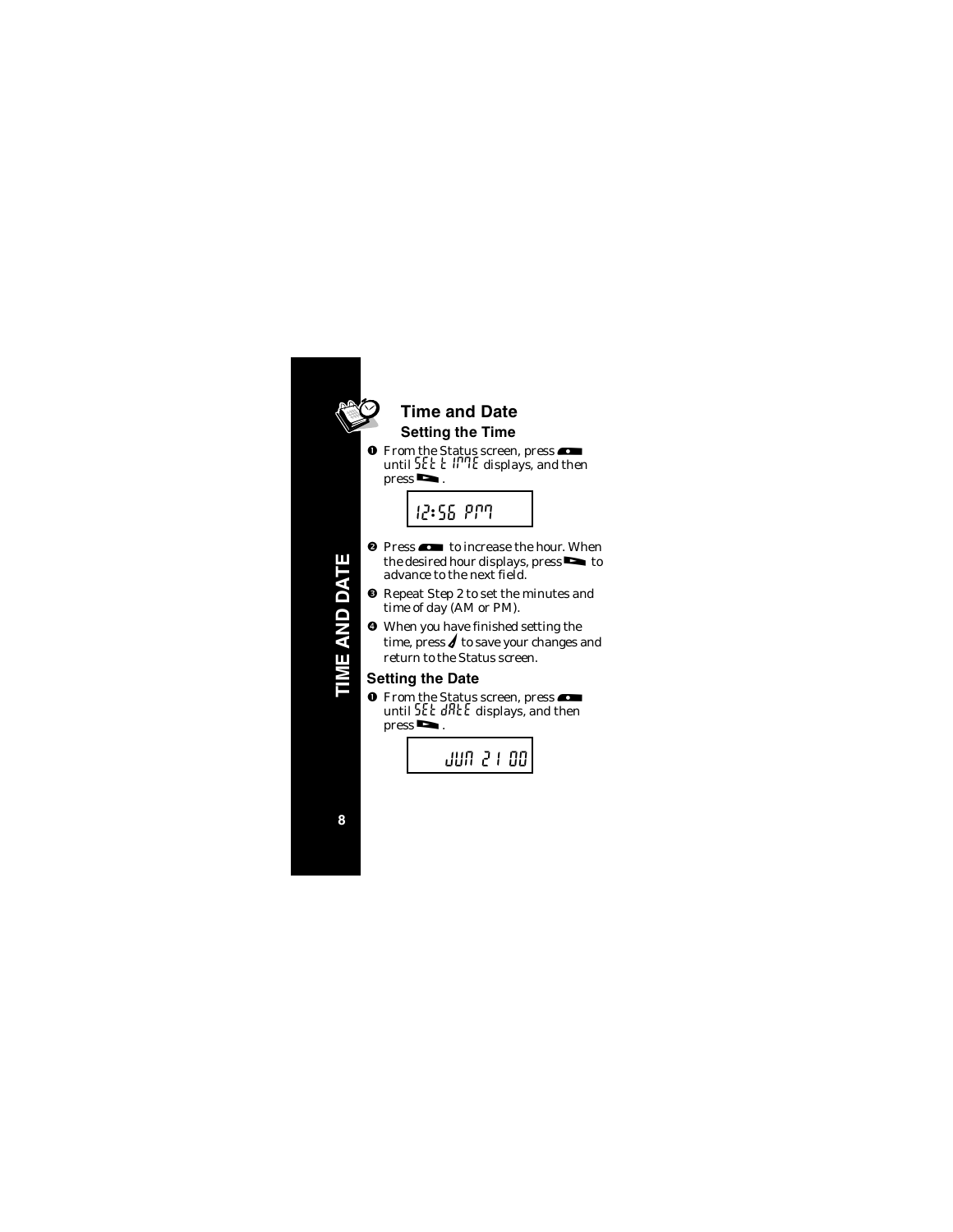

# **Time and Date Setting the Time**

**O** From the Status screen, press until  $55E E$   $\parallel$   $\parallel$ <sup>n</sup>] $E$  displays, and then  $pres \rightarrow$ .



**ME AND DATE TIME AND DATE**

- <sup>2</sup> Press  $\bullet$  to increase the hour. When the desired hour displays, press $\blacktriangleright$  to advance to the next field.
- $\bullet$  Repeat Step 2 to set the minutes and time of day (AM or PM).
- When you have finished setting the time, press  $\boldsymbol{f}$  to save your changes and return to the Status screen.

# **Setting the Date**

**O** From the Status screen, press until 5Et dRtE displays, and then  $pres \rightarrow$ .



**8**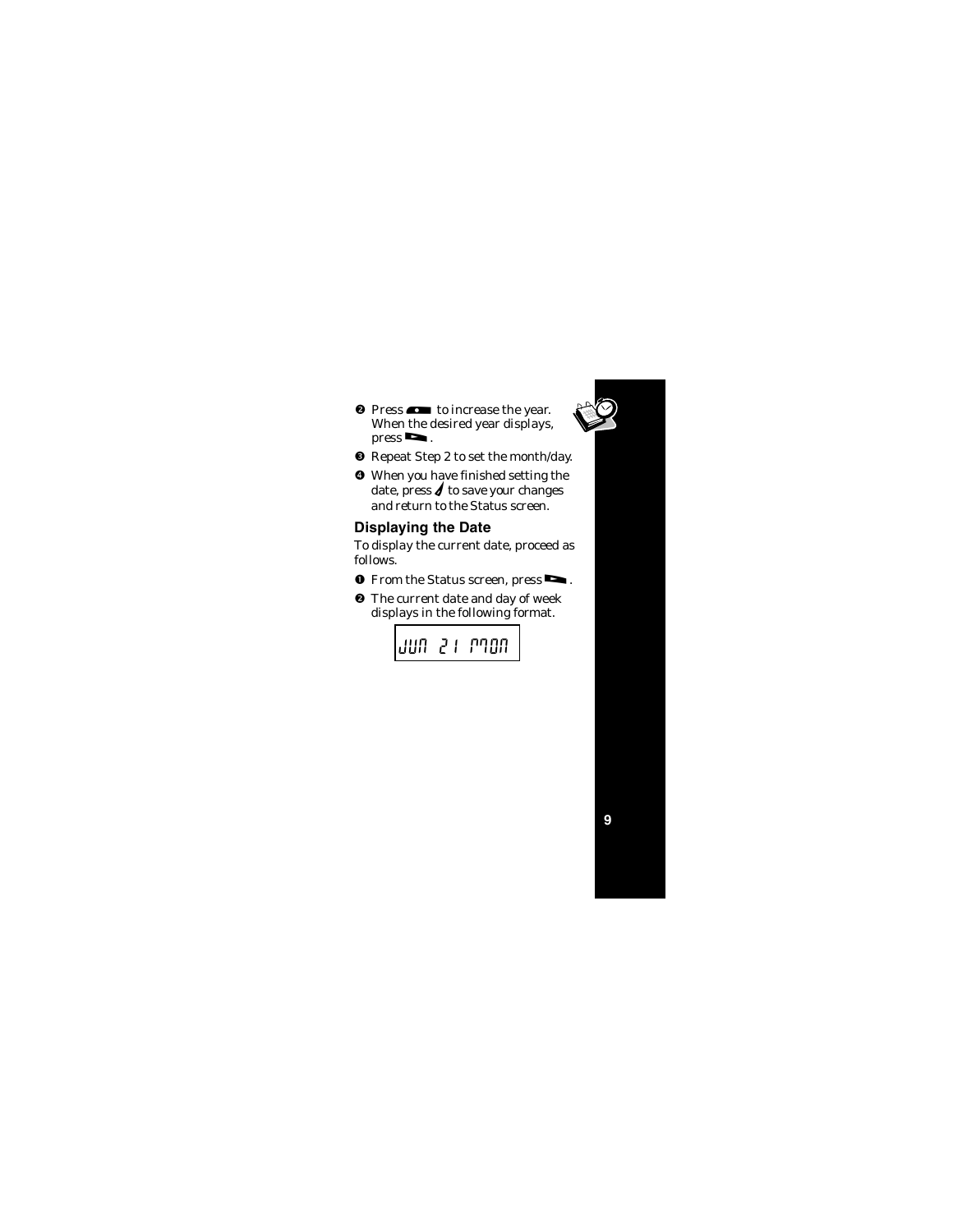- 
- <sup>0</sup> Press  $\bullet$  to increase the year. When the desired year displays.  $pres \rightarrow$ .
- Repeat Step 2 to set the month/day.
- When you have finished setting the date, press  $\boldsymbol{\ell}$  to save your changes and return to the Status screen.

## **Displaying the Date**

To display the current date, proceed as follows.

- **O** From the Status screen, press $\blacksquare$ .
- <sup>2</sup> The current date and day of week displays in the following format.

nan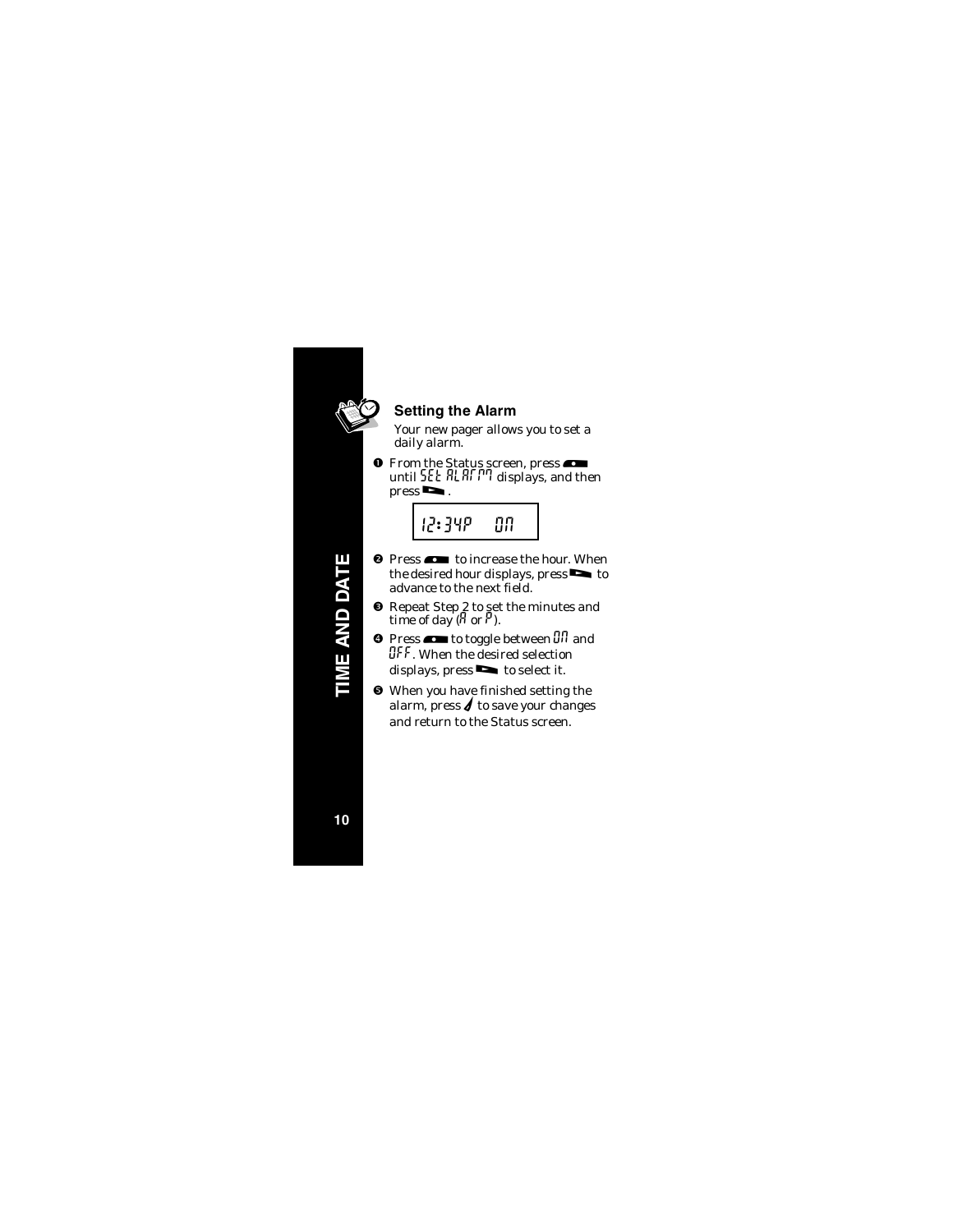

# **Setting the Alarm**

Your new pager allows you to set a daily alarm.

**O** From the Status screen, press until  $55E$  RL RL P<sup>n</sup> displays, and then  $pres \rightarrow$ .



- <sup>0</sup> Press  $\bullet$  to increase the hour. When the desired hour displays, press $\bullet$  to advance to the next field.
- **8** Repeat Step 2 to set the minutes and time of day  $(\beta \text{ or } \beta)$ .
- **O** Press  $\bullet$  to toggle between  $\frac{1}{n}$  and **OFF.** When the desired selection displays, press $\blacksquare$  to select it.
- When you have finished setting the alarm, press  $\boldsymbol{f}$  to save your changes and return to the Status screen.

**ME AND DATE TIME AND DATE**

**10**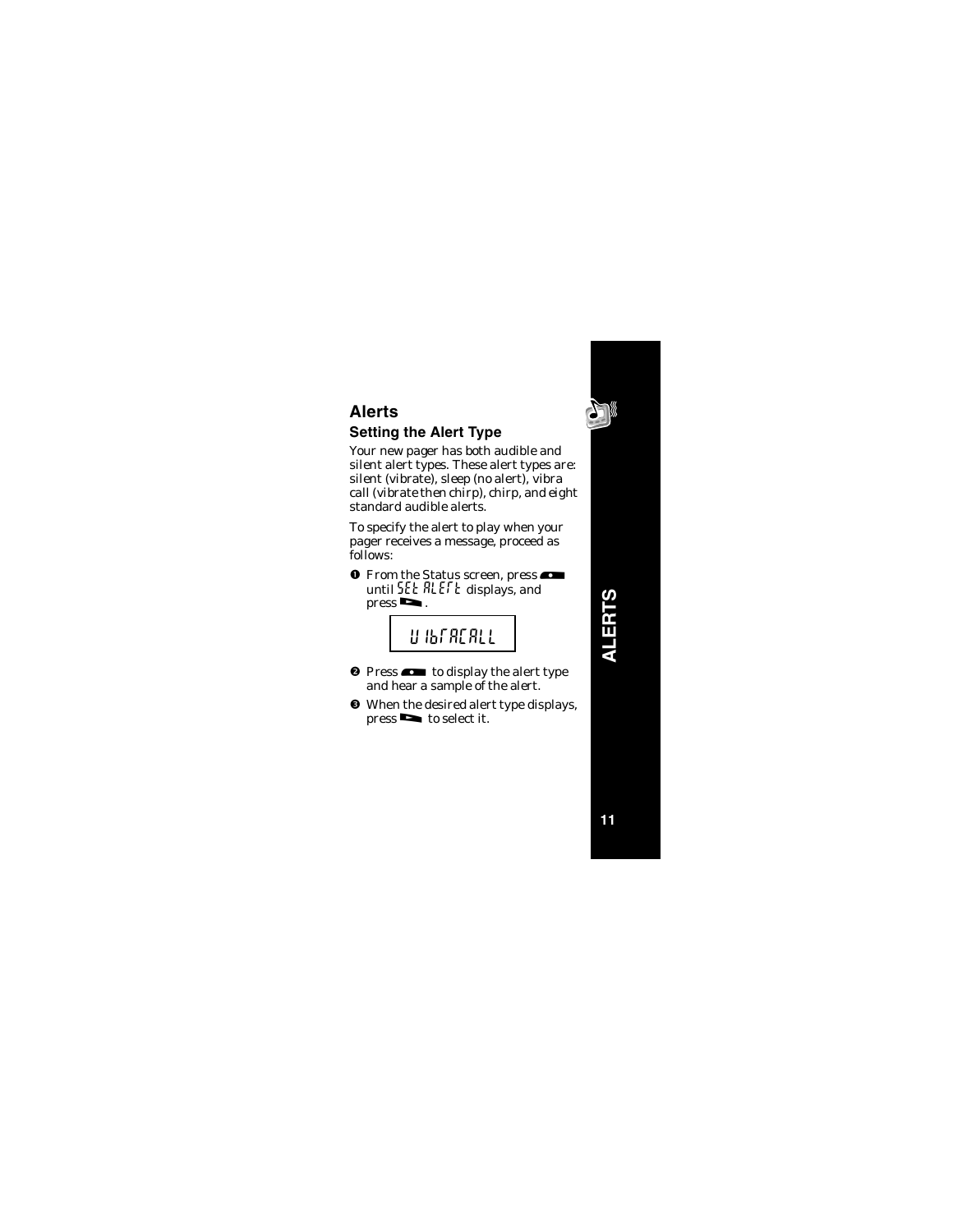# **Alerts Setting the Alert Type**

Your new pager has both audible and silent alert types. These alert types are: silent (vibrate), sleep (no alert), vibra call (vibrate then chirp), chirp, and eight standard audible alerts.

To specify the alert to play when your pager receives a message, proceed as follows:

**O** From the Status screen, press until SEE RLEFE displays, and  $pres \nightharpoonup$ .

# uibracall

- $\bullet$  Press  $\bullet$  to display the alert type and hear a sample of the alert.
- $\bullet$  When the desired alert type displays, press  $\bullet$  to select it.

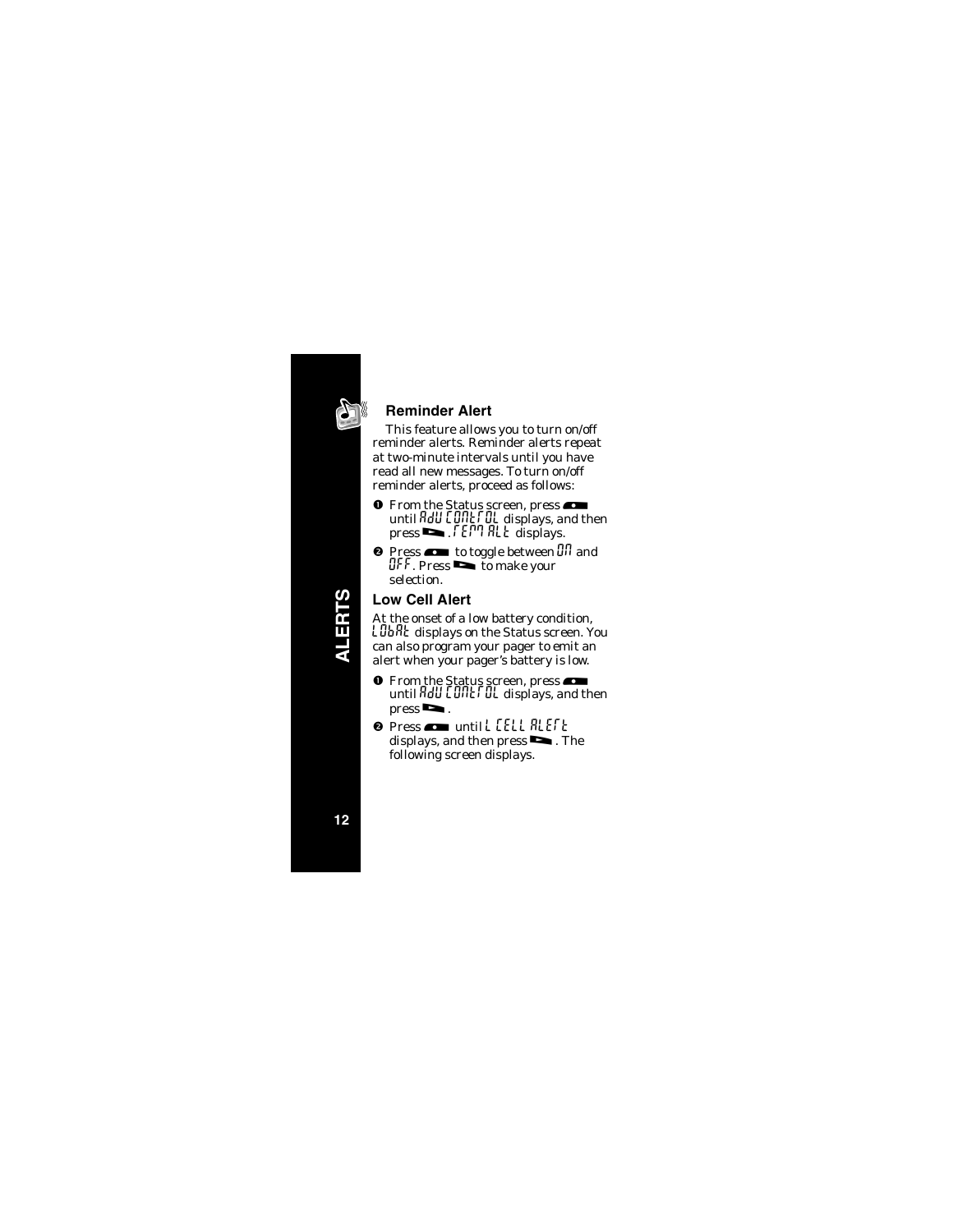

## **Reminder Alert**

This feature allows you to turn on/off reminder alerts. Reminder alerts repeat at two-minute intervals until you have read all new messages. To turn on/off reminder alerts, proceed as follows:

- **O** From the Status screen, press until AdU CONEFOL displays, and then  $press \rightarrow$ . FEPT ALE displays.
- **Q** Press  $\bullet$  to toggle between  $\frac{1}{n}$  and  $QFF$ . Press  $\bullet$  to make your selection.

# **Low Cell Alert**

At the onset of a low battery condition,  ${\mathsf L}\operatorname{\mathsf{JbR}}$ t displays on the Status screen. You can also program your pager to emit an alert when your pager's battery is low.

- **O** From the Status screen, press until  $H dU$   $\Box$   $\Pi$   $\Box$   $\Pi$   $\Box$   $\Pi$  displays, and then  $pres \nightharpoonup$ .
- <sup>O</sup> Press **and untill [ELL RLEFE** displays, and then press  $\blacksquare$ . The following screen displays.

**ALERTS**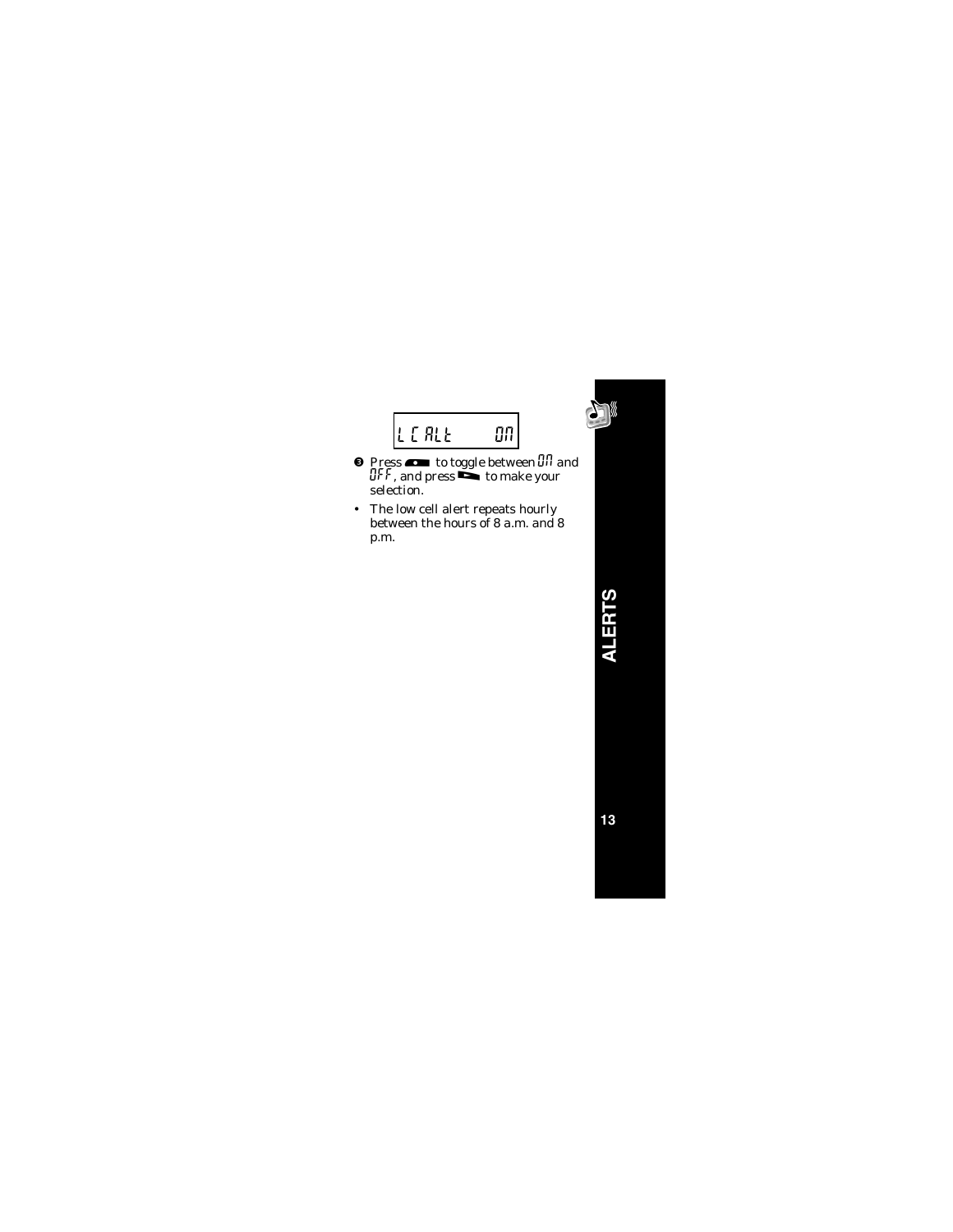

- **O** Press  $\bullet$  to toggle between  $\overline{u}$  and OFF , and press $\mathop{\bf s}\limits^{\bf s}$  to make your selection.
- The low cell alert repeats hourly between the hours of 8 a.m. and 8 p.m.

**ALERTS**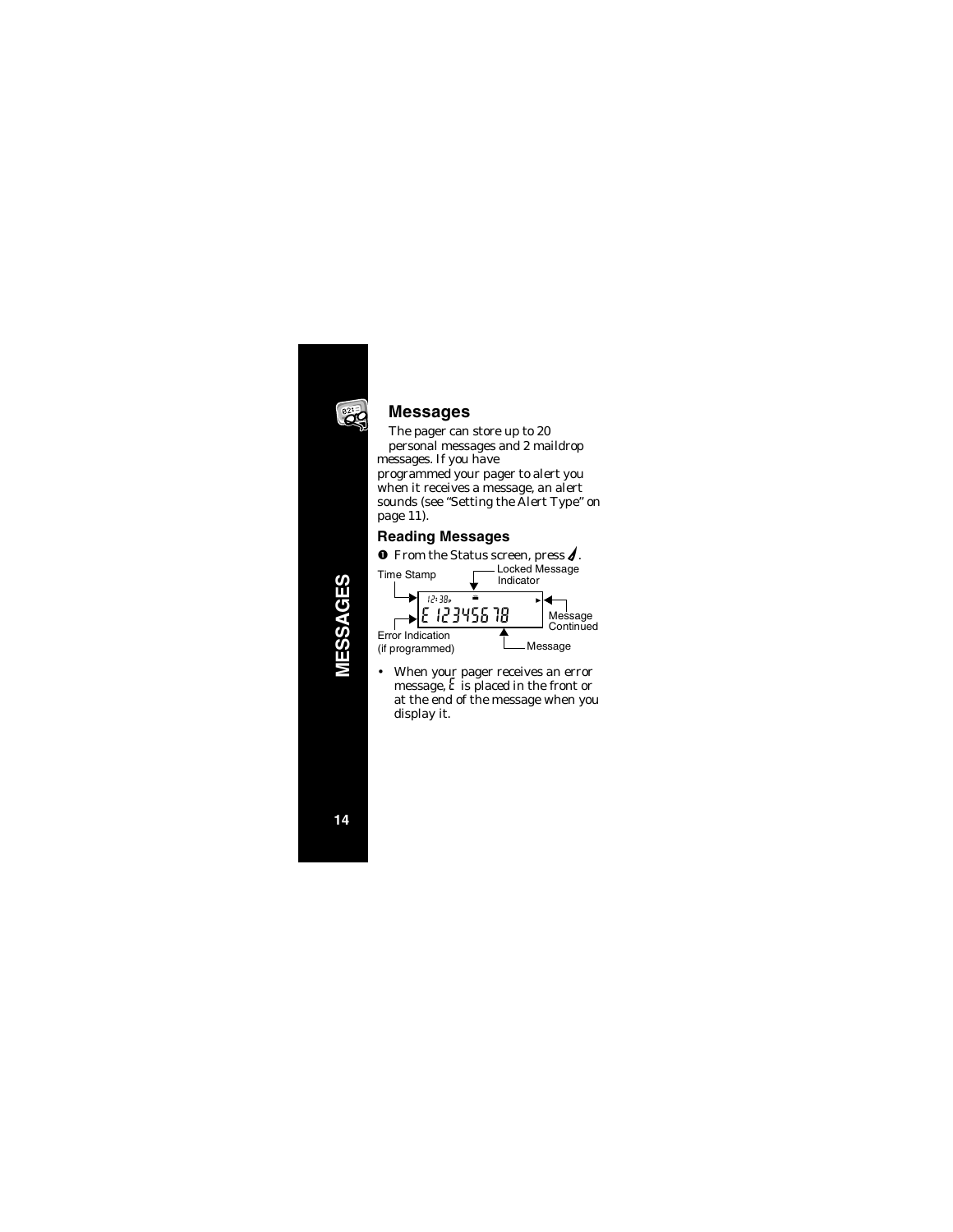

# **Messages**

The pager can store up to 20 personal messages and 2 maildrop messages. If you have programmed your pager to alert you when it receives a message, an alert sounds (see "Setting the Alert Type" on page 11).

# **Reading Messages**



• When your pager receives an error message,  $\epsilon$  is placed in the front or at the end of the message when you display it.

**MESSAGES** こくのり

**14**